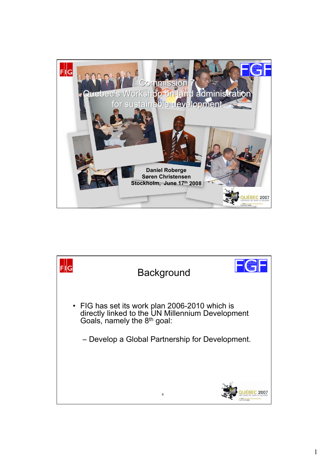

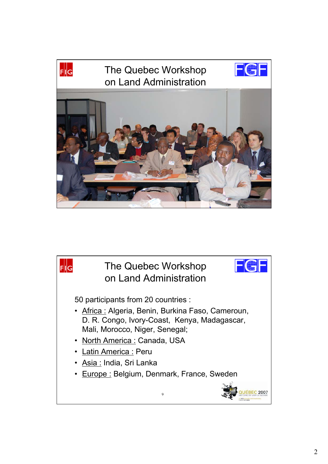

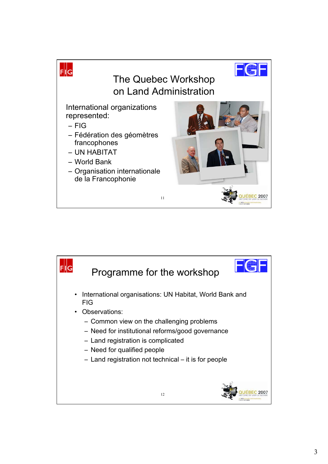

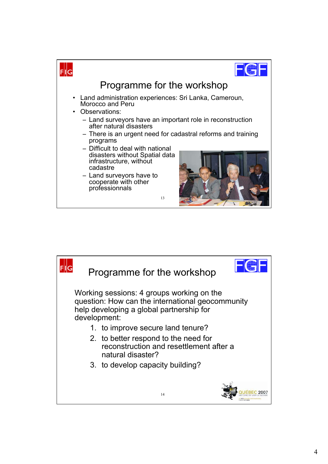

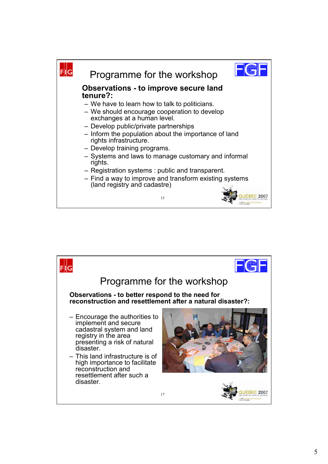

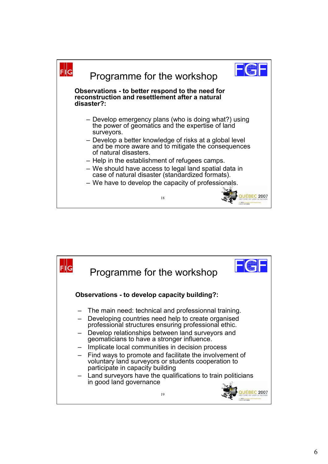